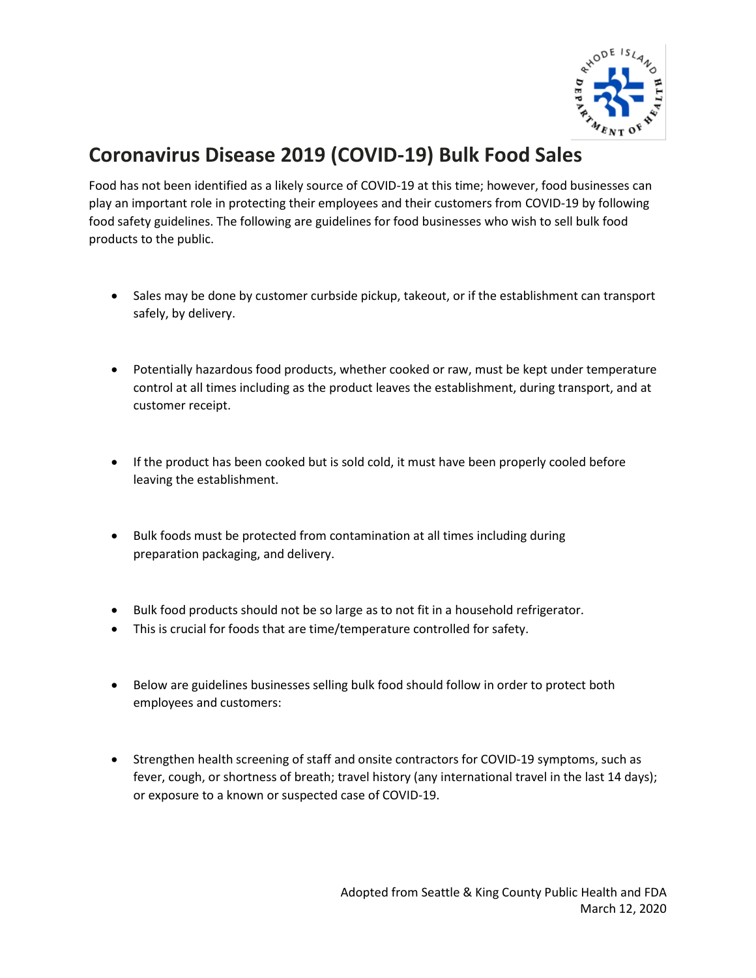

# **Coronavirus Disease 2019 (COVID-19) Bulk Food Sales**

Food has not been identified as a likely source of COVID-19 at this time; however, food businesses can play an important role in protecting their employees and their customers from COVID-19 by following food safety guidelines. The following are guidelines for food businesses who wish to sell bulk food products to the public.

- Sales may be done by customer curbside pickup, takeout, or if the establishment can transport safely, by delivery.
- Potentially hazardous food products, whether cooked or raw, must be kept under temperature control at all times including as the product leaves the establishment, during transport, and at customer receipt.
- If the product has been cooked but is sold cold, it must have been properly cooled before leaving the establishment.
- Bulk foods must be protected from contamination at all times including during preparation packaging, and delivery.
- Bulk food products should not be so large as to not fit in a household refrigerator.
- This is crucial for foods that are time/temperature controlled for safety.
- Below are guidelines businesses selling bulk food should follow in order to protect both employees and customers:
- Strengthen health screening of staff and onsite contractors for COVID-19 symptoms, such as fever, cough, or shortness of breath; travel history (any international travel in the last 14 days); or exposure to a known or suspected case of COVID-19.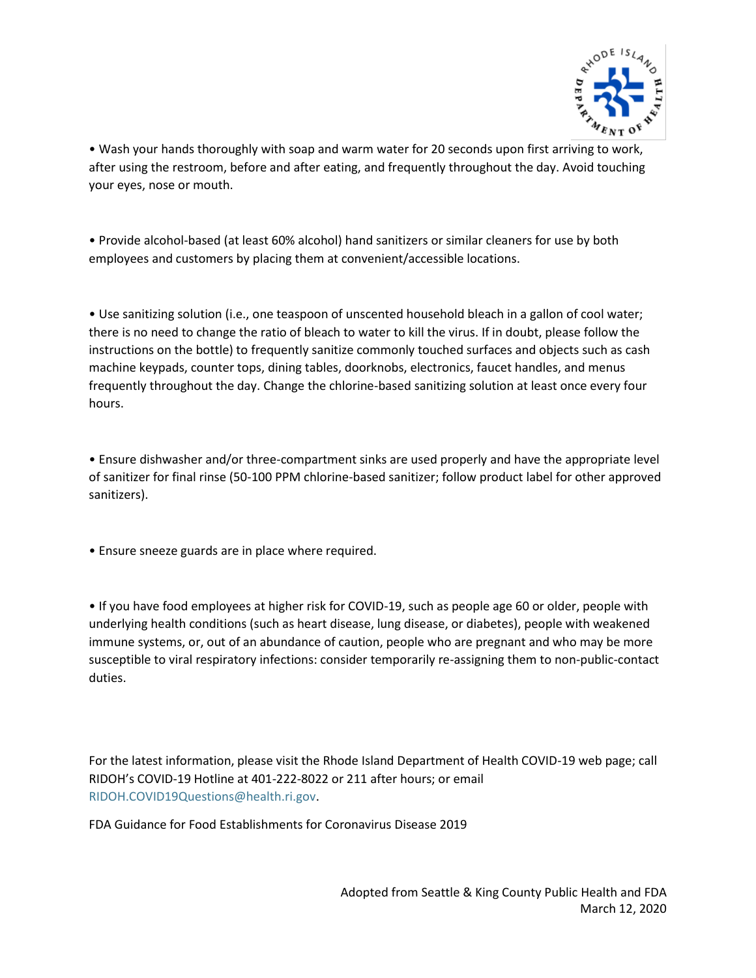

• Wash your hands thoroughly with soap and warm water for 20 seconds upon first arriving to work, after using the restroom, before and after eating, and frequently throughout the day. Avoid touching your eyes, nose or mouth.

• Provide alcohol-based (at least 60% alcohol) hand sanitizers or similar cleaners for use by both employees and customers by placing them at convenient/accessible locations.

• Use sanitizing solution (i.e., one teaspoon of unscented household bleach in a gallon of cool water; there is no need to change the ratio of bleach to water to kill the virus. If in doubt, please follow the instructions on the bottle) to frequently sanitize commonly touched surfaces and objects such as cash machine keypads, counter tops, dining tables, doorknobs, electronics, faucet handles, and menus frequently throughout the day. Change the chlorine-based sanitizing solution at least once every four hours.

• Ensure dishwasher and/or three-compartment sinks are used properly and have the appropriate level of sanitizer for final rinse (50-100 PPM chlorine-based sanitizer; follow product label for other approved sanitizers).

• Ensure sneeze guards are in place where required.

• If you have food employees at higher risk for COVID-19, such as people age 60 or older, people with underlying health conditions (such as heart disease, lung disease, or diabetes), people with weakened immune systems, or, out of an abundance of caution, people who are pregnant and who may be more susceptible to viral respiratory infections: consider temporarily re-assigning them to non-public-contact duties.

For the latest information, please visit the Rhode Island Department of Health COVID-19 web page; call RIDOH's COVID-19 Hotline at 401-222-8022 or 211 after hours; or email [RIDOH.COVID19Questions@health.ri.gov.](mailto:RIDOH.COVID19Questions@health.ri.gov)

FDA Guidance for Food Establishments for Coronavirus Disease 2019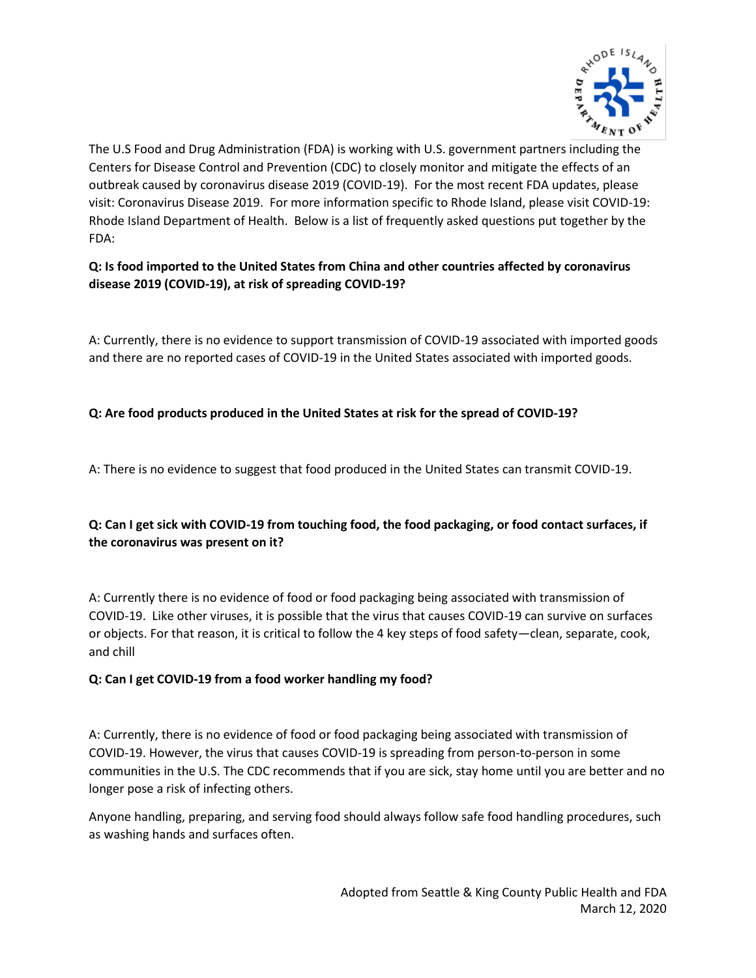

The U.S Food and Drug Administration (FDA) is working with U.S. government partners including the Centers for Disease Control and Prevention (CDC) to closely monitor and mitigate the effects of an outbreak caused by coronavirus disease 2019 (COVID-19). For the most recent FDA updates, please visit: Coronavirus Disease 2019. For more information specific to Rhode Island, please visit COVID-19: Rhode Island Department of Health. Below is a list of frequently asked questions put together by the FDA:

**Q: Is food imported to the United States from China and other countries affected by coronavirus disease 2019 (COVID-19), at risk of spreading COVID-19?**

A: Currently, there is no evidence to support transmission of COVID-19 associated with imported goods and there are no reported cases of COVID-19 in the United States associated with imported goods.

### **Q: Are food products produced in the United States at risk for the spread of COVID-19?**

A: There is no evidence to suggest that food produced in the United States can transmit COVID-19.

## **Q: Can I get sick with COVID-19 from touching food, the food packaging, or food contact surfaces, if the coronavirus was present on it?**

A: Currently there is no evidence of food or food packaging being associated with transmission of COVID-19. Like other viruses, it is possible that the virus that causes COVID-19 can survive on surfaces or objects. For that reason, it is critical to follow the 4 key steps of food safety—clean, separate, cook, and chill

#### **Q: Can I get COVID-19 from a food worker handling my food?**

A: Currently, there is no evidence of food or food packaging being associated with transmission of COVID-19. However, the virus that causes COVID-19 is spreading from person-to-person in some communities in the U.S. The CDC recommends that if you are sick, stay home until you are better and no longer pose a risk of infecting others.

Anyone handling, preparing, and serving food should always follow safe food handling procedures, such as washing hands and surfaces often.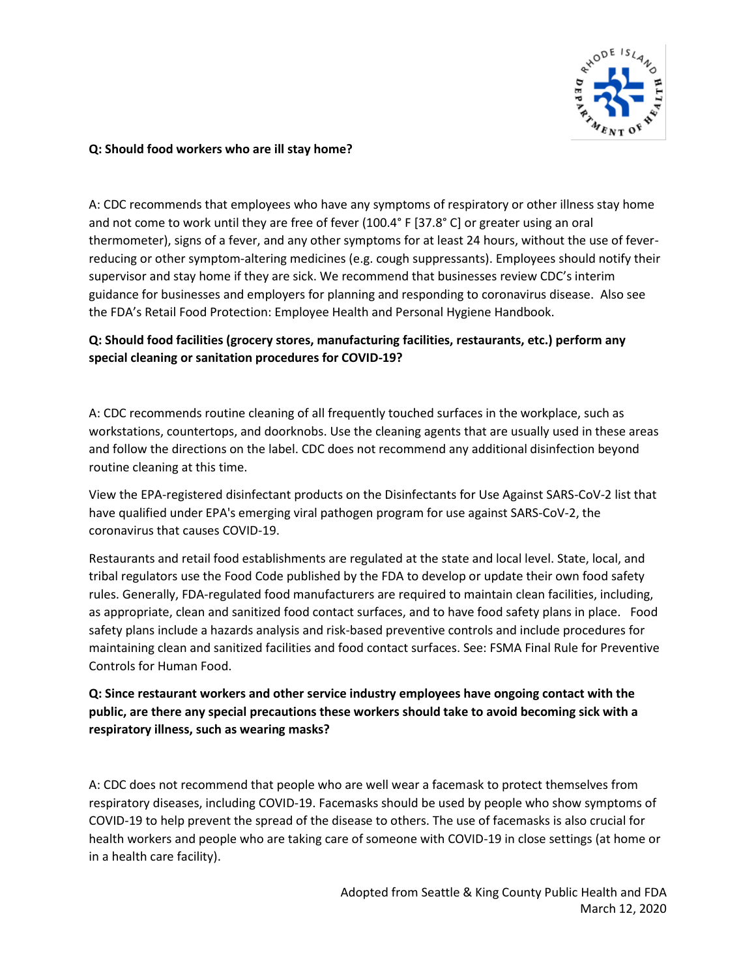

#### **Q: Should food workers who are ill stay home?**

A: CDC recommends that employees who have any symptoms of respiratory or other illness stay home and not come to work until they are free of fever (100.4° F [37.8° C] or greater using an oral thermometer), signs of a fever, and any other symptoms for at least 24 hours, without the use of feverreducing or other symptom-altering medicines (e.g. cough suppressants). Employees should notify their supervisor and stay home if they are sick. We recommend that businesses review CDC's interim guidance for businesses and employers for planning and responding to coronavirus disease. Also see the FDA's Retail Food Protection: Employee Health and Personal Hygiene Handbook.

## **Q: Should food facilities (grocery stores, manufacturing facilities, restaurants, etc.) perform any special cleaning or sanitation procedures for COVID-19?**

A: CDC recommends routine cleaning of all frequently touched surfaces in the workplace, such as workstations, countertops, and doorknobs. Use the cleaning agents that are usually used in these areas and follow the directions on the label. CDC does not recommend any additional disinfection beyond routine cleaning at this time.

View the EPA-registered disinfectant products on the Disinfectants for Use Against SARS-CoV-2 list that have qualified under EPA's emerging viral pathogen program for use against SARS-CoV-2, the coronavirus that causes COVID-19.

Restaurants and retail food establishments are regulated at the state and local level. State, local, and tribal regulators use the Food Code published by the FDA to develop or update their own food safety rules. Generally, FDA-regulated food manufacturers are required to maintain clean facilities, including, as appropriate, clean and sanitized food contact surfaces, and to have food safety plans in place. Food safety plans include a hazards analysis and risk-based preventive controls and include procedures for maintaining clean and sanitized facilities and food contact surfaces. See: FSMA Final Rule for Preventive Controls for Human Food.

## **Q: Since restaurant workers and other service industry employees have ongoing contact with the public, are there any special precautions these workers should take to avoid becoming sick with a respiratory illness, such as wearing masks?**

A: CDC does not recommend that people who are well wear a facemask to protect themselves from respiratory diseases, including COVID-19. Facemasks should be used by people who show symptoms of COVID-19 to help prevent the spread of the disease to others. The use of facemasks is also crucial for health workers and people who are taking care of someone with COVID-19 in close settings (at home or in a health care facility).